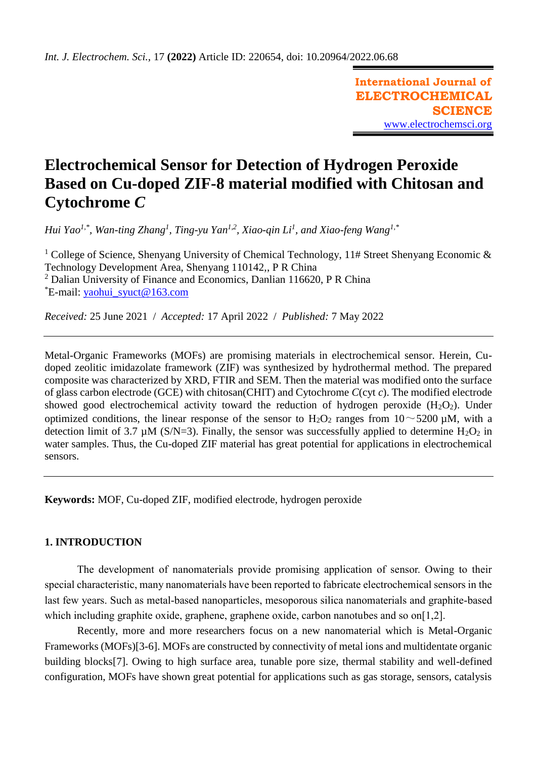**International Journal of ELECTROCHEMICAL SCIENCE** [www.electrochemsci.org](http://www.electrochemsci.org/)

# **Electrochemical Sensor for Detection of Hydrogen Peroxide Based on Cu-doped ZIF-8 material modified with Chitosan and Cytochrome** *C*

*Hui Yao1,\* , Wan-ting Zhang<sup>1</sup> , Ting-yu Yan1,2, Xiao-qin Li<sup>1</sup> , and Xiao-feng Wang1,\**

<sup>1</sup> College of Science, Shenyang University of Chemical Technology, 11# Street Shenyang Economic  $\&$ Technology Development Area, Shenyang 110142,, P R China  $2$  Dalian University of Finance and Economics, Danlian 116620, P R China  $E$ -mail: yaohui syuct@163.com

*Received:* 25 June 2021/ *Accepted:* 17 April 2022 / *Published:* 7 May 2022

Metal-Organic Frameworks (MOFs) are promising materials in electrochemical sensor. Herein, Cudoped zeolitic imidazolate framework (ZIF) was synthesized by hydrothermal method. The prepared composite was characterized by XRD, FTIR and SEM. Then the material was modified onto the surface of glass carbon electrode (GCE) with chitosan(CHIT) and Cytochrome *C*(cyt *c*). The modified electrode showed good electrochemical activity toward the reduction of hydrogen peroxide  $(H_2O_2)$ . Under optimized conditions, the linear response of the sensor to  $H_2O_2$  ranges from  $10~\sim 5200$  µM, with a detection limit of 3.7  $\mu$ M (S/N=3). Finally, the sensor was successfully applied to determine H<sub>2</sub>O<sub>2</sub> in water samples. Thus, the Cu-doped ZIF material has great potential for applications in electrochemical sensors.

**Keywords:** MOF, Cu-doped ZIF, modified electrode, hydrogen peroxide

# **1. INTRODUCTION**

The development of nanomaterials provide promising application of sensor. Owing to their special characteristic, many nanomaterials have been reported to fabricate electrochemical sensors in the last few years. Such as metal-based nanoparticles, mesoporous silica nanomaterials and graphite-based which including graphite oxide, graphene, graphene oxide, carbon nanotubes and so on[1,2].

Recently, more and more researchers focus on a new nanomaterial which is Metal-Organic Frameworks (MOFs)[3-6]. MOFs are constructed by connectivity of metal ions and multidentate organic building blocks[7]. Owing to high surface area, tunable pore size, thermal stability and well-defined configuration, MOFs have shown great potential for applications such as gas storage, sensors, catalysis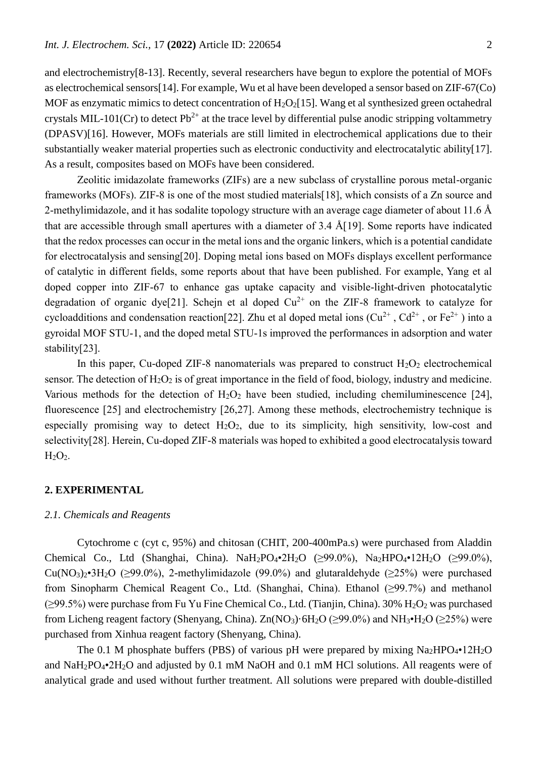and electrochemistry[8-13]. Recently, several researchers have begun to explore the potential of MOFs as electrochemical sensors[14]. For example, Wu et al have been developed a sensor based on ZIF-67(Co) MOF as enzymatic mimics to detect concentration of  $H_2O_2[15]$ . Wang et al synthesized green octahedral crystals MIL-101(Cr) to detect  $Pb^{2+}$  at the trace level by differential pulse anodic stripping voltammetry (DPASV)[16]. However, MOFs materials are still limited in electrochemical applications due to their substantially weaker material properties such as electronic conductivity and electrocatalytic ability[17]. As a result, composites based on MOFs have been considered.

Zeolitic imidazolate frameworks (ZIFs) are a new subclass of crystalline porous metal-organic frameworks (MOFs). ZIF-8 is one of the most studied materials[18], which consists of a Zn source and 2-methylimidazole, and it has sodalite topology structure with an average cage diameter of about 11.6 Å that are accessible through small apertures with a diameter of 3.4 Å[19]. Some reports have indicated that the redox processes can occur in the metal ions and the organic linkers, which is a potential candidate for electrocatalysis and sensing[20]. Doping metal ions based on MOFs displays excellent performance of catalytic in different fields, some reports about that have been published. For example, Yang et al doped copper into ZIF-67 to enhance gas uptake capacity and visible-light-driven photocatalytic degradation of organic dye[21]. Schejn et al doped  $Cu^{2+}$  on the ZIF-8 framework to catalyze for cycloadditions and condensation reaction [22]. Zhu et al doped metal ions  $(Cu^{2+}$ ,  $Cd^{2+}$ , or  $Fe^{2+}$ ) into a gyroidal MOF STU-1, and the doped metal STU-1s improved the performances in adsorption and water stability[23].

In this paper, Cu-doped ZIF-8 nanomaterials was prepared to construct  $H_2O_2$  electrochemical sensor. The detection of  $H_2O_2$  is of great importance in the field of food, biology, industry and medicine. Various methods for the detection of  $H_2O_2$  have been studied, including chemiluminescence [24], fluorescence [25] and electrochemistry [26,27]. Among these methods, electrochemistry technique is especially promising way to detect  $H_2O_2$ , due to its simplicity, high sensitivity, low-cost and selectivity[28]. Herein, Cu-doped ZIF-8 materials was hoped to exhibited a good electrocatalysis toward  $H<sub>2</sub>O<sub>2</sub>$ .

## **2. EXPERIMENTAL**

## *2.1. Chemicals and Reagents*

Cytochrome c (cyt c, 95%) and chitosan (CHIT, 200-400mPa.s) were purchased from Aladdin Chemical Co., Ltd (Shanghai, China). NaH<sub>2</sub>PO<sub>4</sub>•2H<sub>2</sub>O ( $\geq$ 99.0%), Na<sub>2</sub>HPO<sub>4</sub>•12H<sub>2</sub>O ( $\geq$ 99.0%),  $Cu(NO<sub>3</sub>)<sub>2</sub>•3H<sub>2</sub>O$  ( $\geq$ 99.0%), 2-methylimidazole (99.0%) and glutaraldehyde ( $\geq$ 25%) were purchased from Sinopharm Chemical Reagent Co., Ltd. (Shanghai, China). Ethanol (≥99.7%) and methanol  $(\geq)9.5\%)$  were purchase from Fu Yu Fine Chemical Co., Ltd. (Tianjin, China). 30% H<sub>2</sub>O<sub>2</sub> was purchased from Licheng reagent factory (Shenyang, China). Zn(NO<sub>3</sub>)·6H<sub>2</sub>O ( $\geq$ 99.0%) and NH<sub>3</sub>•H<sub>2</sub>O ( $\geq$ 25%) were purchased from Xinhua reagent factory (Shenyang, China).

The 0.1 M phosphate buffers (PBS) of various pH were prepared by mixing  $Na<sub>2</sub>HPO<sub>4</sub>•12H<sub>2</sub>O$ and NaH2PO4•2H2O and adjusted by 0.1 mM NaOH and 0.1 mM HCl solutions. All reagents were of analytical grade and used without further treatment. All solutions were prepared with double-distilled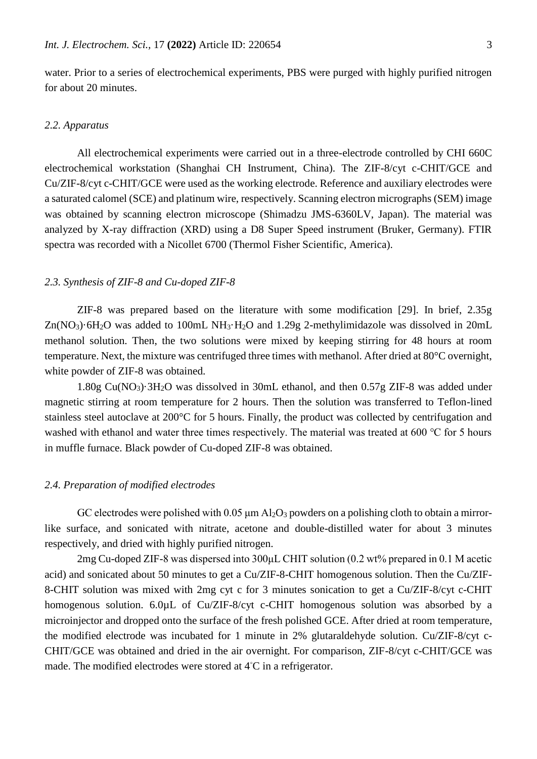water. Prior to a series of electrochemical experiments, PBS were purged with highly purified nitrogen for about 20 minutes.

# *2.2. Apparatus*

All electrochemical experiments were carried out in a three-electrode controlled by CHI 660C electrochemical workstation (Shanghai CH Instrument, China). The ZIF-8/cyt c-CHIT/GCE and Cu/ZIF-8/cyt c-CHIT/GCE were used as the working electrode. Reference and auxiliary electrodes were a saturated calomel (SCE) and platinum wire, respectively. Scanning electron micrographs (SEM) image was obtained by scanning electron microscope (Shimadzu JMS-6360LV, Japan). The material was analyzed by X-ray diffraction (XRD) using a D8 Super Speed instrument (Bruker, Germany). FTIR spectra was recorded with a Nicollet 6700 (Thermol Fisher Scientific, America).

## *2.3. Synthesis of ZIF-8 and Cu-doped ZIF-8*

ZIF-8 was prepared based on the literature with some modification [29]. In brief, 2.35g  $Zn(NO<sub>3</sub>)·6H<sub>2</sub>O$  was added to 100mL NH<sub>3</sub>·H<sub>2</sub>O and 1.29g 2-methylimidazole was dissolved in 20mL methanol solution. Then, the two solutions were mixed by keeping stirring for 48 hours at room temperature. Next, the mixture was centrifuged three times with methanol. After dried at 80°C overnight, white powder of ZIF-8 was obtained.

1.80g Cu(NO3)·3H2O was dissolved in 30mL ethanol, and then 0.57g ZIF-8 was added under magnetic stirring at room temperature for 2 hours. Then the solution was transferred to Teflon-lined stainless steel autoclave at 200°C for 5 hours. Finally, the product was collected by centrifugation and washed with ethanol and water three times respectively. The material was treated at 600 ℃ for 5 hours in muffle furnace. Black powder of Cu-doped ZIF-8 was obtained.

## *2.4. Preparation of modified electrodes*

GC electrodes were polished with  $0.05 \mu m A<sub>2</sub>O<sub>3</sub>$  powders on a polishing cloth to obtain a mirrorlike surface, and sonicated with nitrate, acetone and double-distilled water for about 3 minutes respectively, and dried with highly purified nitrogen.

2mg Cu-doped ZIF-8 was dispersed into 300μL CHIT solution (0.2 wt% prepared in 0.1 M acetic acid) and sonicated about 50 minutes to get a Cu/ZIF-8-CHIT homogenous solution. Then the Cu/ZIF-8-CHIT solution was mixed with 2mg cyt c for 3 minutes sonication to get a Cu/ZIF-8/cyt c-CHIT homogenous solution. 6.0µL of Cu/ZIF-8/cyt c-CHIT homogenous solution was absorbed by a microinjector and dropped onto the surface of the fresh polished GCE. After dried at room temperature, the modified electrode was incubated for 1 minute in 2% glutaraldehyde solution. Cu/ZIF-8/cyt c-CHIT/GCE was obtained and dried in the air overnight. For comparison, ZIF-8/cyt c-CHIT/GCE was made. The modified electrodes were stored at 4◦C in a refrigerator.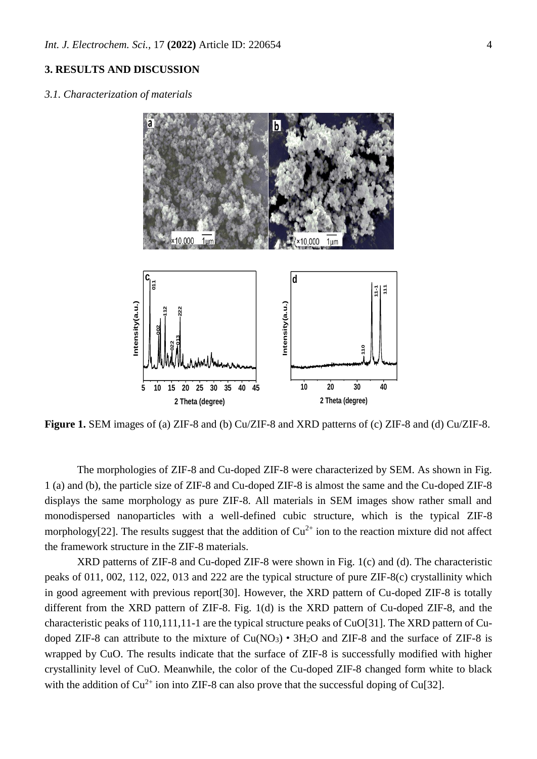# **3. RESULTS AND DISCUSSION**

*3.1. Characterization of materials*



**Figure 1.** SEM images of (a) ZIF-8 and (b) Cu/ZIF-8 and XRD patterns of (c) ZIF-8 and (d) Cu/ZIF-8.

The morphologies of ZIF-8 and Cu-doped ZIF-8 were characterized by SEM. As shown in Fig. 1 (a) and (b), the particle size of ZIF-8 and Cu-doped ZIF-8 is almost the same and the Cu-doped ZIF-8 displays the same morphology as pure ZIF-8. All materials in SEM images show rather small and monodispersed nanoparticles with a well-defined cubic structure, which is the typical ZIF-8 morphology[22]. The results suggest that the addition of  $Cu^{2+}$  ion to the reaction mixture did not affect the framework structure in the ZIF-8 materials.

XRD patterns of ZIF-8 and Cu-doped ZIF-8 were shown in Fig. 1(c) and (d). The characteristic peaks of 011, 002, 112, 022, 013 and 222 are the typical structure of pure ZIF-8(c) crystallinity which in good agreement with previous report[30]. However, the XRD pattern of Cu-doped ZIF-8 is totally different from the XRD pattern of ZIF-8. Fig. 1(d) is the XRD pattern of Cu-doped ZIF-8, and the characteristic peaks of 110,111,11-1 are the typical structure peaks of CuO[31]. The XRD pattern of Cudoped ZIF-8 can attribute to the mixture of  $Cu(NO<sub>3</sub>) \cdot 3H<sub>2</sub>O$  and ZIF-8 and the surface of ZIF-8 is wrapped by CuO. The results indicate that the surface of ZIF-8 is successfully modified with higher crystallinity level of CuO. Meanwhile, the color of the Cu-doped ZIF-8 changed form white to black with the addition of  $Cu^{2+}$  ion into ZIF-8 can also prove that the successful doping of Cu[32].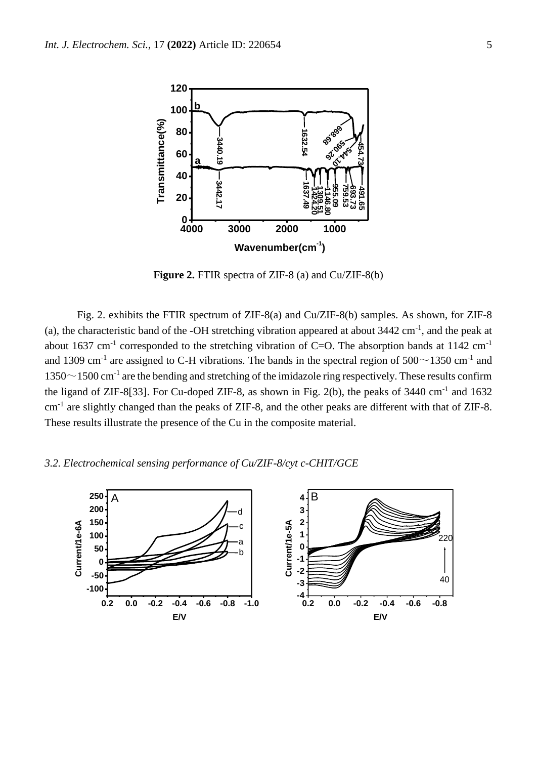

**Figure 2.** FTIR spectra of ZIF-8 (a) and Cu/ZIF-8(b)

Fig. 2. exhibits the FTIR spectrum of ZIF-8(a) and Cu/ZIF-8(b) samples. As shown, for ZIF-8 (a), the characteristic band of the -OH stretching vibration appeared at about  $3442 \text{ cm}^{-1}$ , and the peak at about 1637 cm<sup>-1</sup> corresponded to the stretching vibration of C=O. The absorption bands at 1142 cm<sup>-1</sup> and 1309 cm<sup>-1</sup> are assigned to C-H vibrations. The bands in the spectral region of  $500 \sim 1350$  cm<sup>-1</sup> and  $1350 \sim 1500$  cm<sup>-1</sup> are the bending and stretching of the imidazole ring respectively. These results confirm the ligand of ZIF-8[33]. For Cu-doped ZIF-8, as shown in Fig. 2(b), the peaks of  $3440 \text{ cm}^{-1}$  and  $1632$ cm<sup>-1</sup> are slightly changed than the peaks of ZIF-8, and the other peaks are different with that of ZIF-8. These results illustrate the presence of the Cu in the composite material.

# *3.2. Electrochemical sensing performance of Cu/ZIF-8/cyt c-CHIT/GCE*

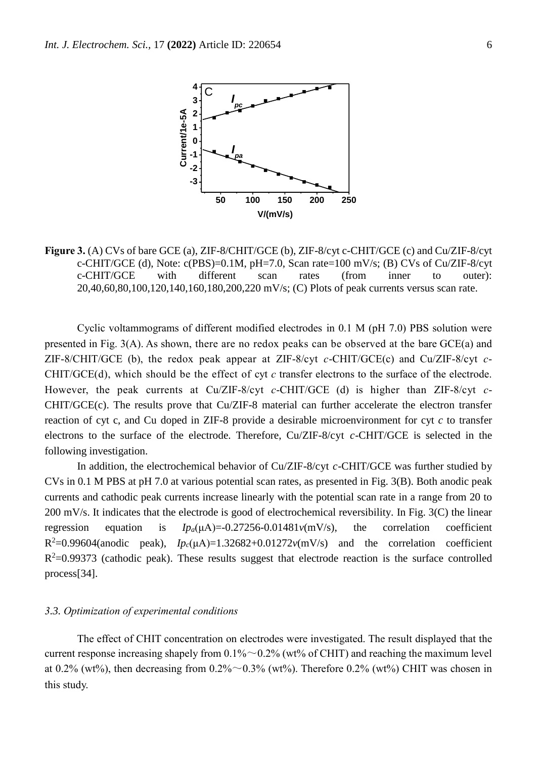

**Figure 3.** (A) CVs of bare GCE (a), ZIF-8/CHIT/GCE (b), ZIF-8/cyt c-CHIT/GCE (c) and Cu/ZIF-8/cyt c-CHIT/GCE (d), Note:  $c(PBS) = 0.1M$ ,  $pH = 7.0$ , Scan rate = 100 mV/s; (B) CVs of Cu/ZIF-8/cyt c-CHIT/GCE with different scan rates (from inner to outer): 20,40,60,80,100,120,140,160,180,200,220 mV/s; (C) Plots of peak currents versus scan rate.

Cyclic voltammograms of different modified electrodes in 0.1 M (pH 7.0) PBS solution were presented in Fig. 3(A). As shown, there are no redox peaks can be observed at the bare GCE(a) and ZIF-8/CHIT/GCE (b), the redox peak appear at ZIF-8/cyt *c*-CHIT/GCE(c) and Cu/ZIF-8/cyt *c*-CHIT/GCE(d), which should be the effect of cyt *c* transfer electrons to the surface of the electrode. However, the peak currents at Cu/ZIF-8/cyt *c*-CHIT/GCE (d) is higher than ZIF-8/cyt *c*-CHIT/GCE(c). The results prove that Cu/ZIF-8 material can further accelerate the electron transfer reaction of cyt c, and Cu doped in ZIF-8 provide a desirable microenvironment for cyt *c* to transfer electrons to the surface of the electrode. Therefore, Cu/ZIF-8/cyt *c*-CHIT/GCE is selected in the following investigation.

In addition, the electrochemical behavior of Cu/ZIF-8/cyt *c*-CHIT/GCE was further studied by CVs in 0.1 M PBS at pH 7.0 at various potential scan rates, as presented in Fig. 3(B). Both anodic peak currents and cathodic peak currents increase linearly with the potential scan rate in a range from 20 to 200 mV/s. It indicates that the electrode is good of electrochemical reversibility. In Fig. 3(C) the linear regression equation is  $Ip_a(\mu A) = 0.27256 - 0.01481 \nu(mV/s)$ , the correlation coefficient  $R^2=0.99604$ (anodic peak),  $I_1^2P_c(\mu A)=1.32682+0.01272\nu(mV/s)$  and the correlation coefficient  $R<sup>2</sup>=0.99373$  (cathodic peak). These results suggest that electrode reaction is the surface controlled process[34].

## *3.3. Optimization of experimental conditions*

The effect of CHIT concentration on electrodes were investigated. The result displayed that the current response increasing shapely from  $0.1\% \sim 0.2\%$  (wt% of CHIT) and reaching the maximum level at 0.2% (wt%), then decreasing from  $0.2\% \sim 0.3\%$  (wt%). Therefore 0.2% (wt%) CHIT was chosen in this study.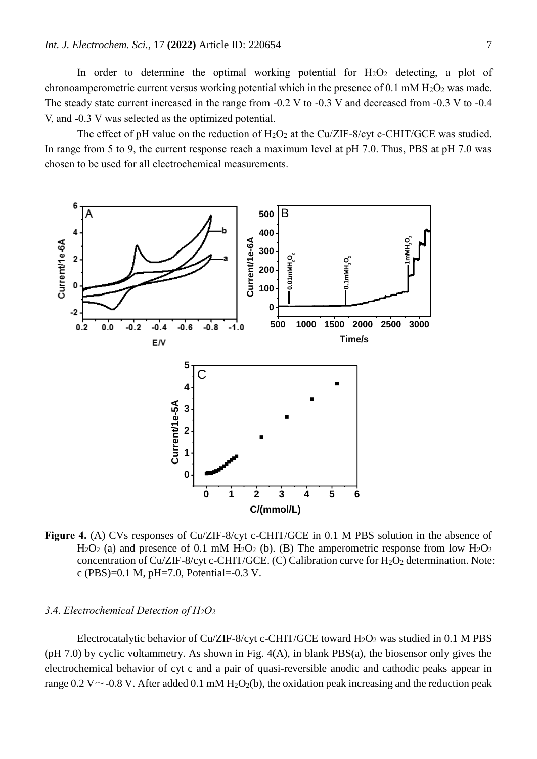In order to determine the optimal working potential for  $H_2O_2$  detecting, a plot of chronoamperometric current versus working potential which in the presence of 0.1 mM  $H_2O_2$  was made. The steady state current increased in the range from -0.2 V to -0.3 V and decreased from -0.3 V to -0.4 V, and -0.3 V was selected as the optimized potential.

The effect of pH value on the reduction of  $H_2O_2$  at the Cu/ZIF-8/cyt c-CHIT/GCE was studied. In range from 5 to 9, the current response reach a maximum level at pH 7.0. Thus, PBS at pH 7.0 was chosen to be used for all electrochemical measurements.



**Figure 4.** (A) CVs responses of Cu/ZIF-8/cyt c-CHIT/GCE in 0.1 M PBS solution in the absence of  $H_2O_2$  (a) and presence of 0.1 mM  $H_2O_2$  (b). (B) The amperometric response from low  $H_2O_2$ concentration of Cu/ZIF-8/cyt c-CHIT/GCE. (C) Calibration curve for  $H_2O_2$  determination. Note: c (PBS)=0.1 M, pH=7.0, Potential=-0.3 V.

## *3.4. Electrochemical Detection of H2O<sup>2</sup>*

Electrocatalytic behavior of Cu/ZIF-8/cyt c-CHIT/GCE toward  $H_2O_2$  was studied in 0.1 M PBS (pH 7.0) by cyclic voltammetry. As shown in Fig. 4(A), in blank PBS(a), the biosensor only gives the electrochemical behavior of cyt c and a pair of quasi-reversible anodic and cathodic peaks appear in range 0.2 V  $\sim$  -0.8 V. After added 0.1 mM H<sub>2</sub>O<sub>2</sub>(b), the oxidation peak increasing and the reduction peak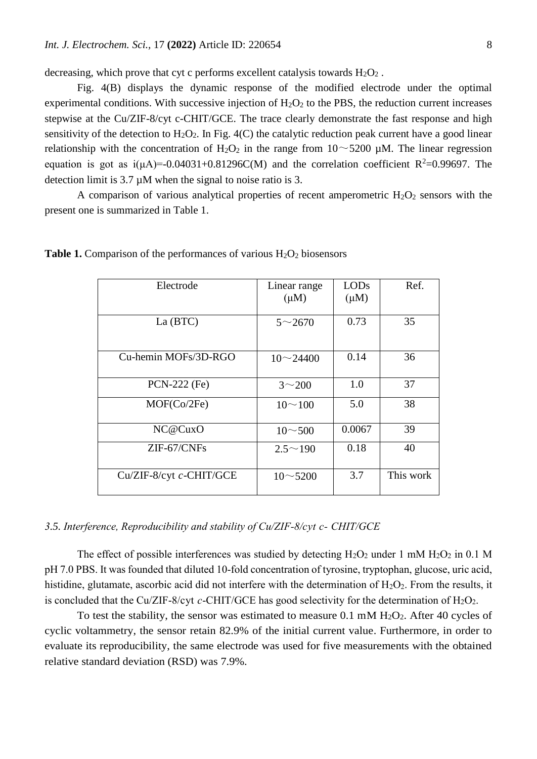decreasing, which prove that cyt c performs excellent catalysis towards  $H_2O_2$ .

Fig. 4(B) displays the dynamic response of the modified electrode under the optimal experimental conditions. With successive injection of  $H_2O_2$  to the PBS, the reduction current increases stepwise at the Cu/ZIF-8/cyt c-CHIT/GCE. The trace clearly demonstrate the fast response and high sensitivity of the detection to  $H_2O_2$ . In Fig. 4(C) the catalytic reduction peak current have a good linear relationship with the concentration of  $H_2O_2$  in the range from  $10~\sim 5200$  µM. The linear regression equation is got as  $i(\mu A) = -0.04031 + 0.81296C(M)$  and the correlation coefficient R<sup>2</sup>=0.99697. The detection limit is 3.7 µM when the signal to noise ratio is 3.

A comparison of various analytical properties of recent amperometric  $H_2O_2$  sensors with the present one is summarized in Table 1.

| Electrode               | Linear range<br>$(\mu M)$ | LOD <sub>s</sub><br>$(\mu M)$ | Ref.      |
|-------------------------|---------------------------|-------------------------------|-----------|
| La (BTC)                | $5 \sim 2670$             | 0.73                          | 35        |
| Cu-hemin MOFs/3D-RGO    | $10 \sim 24400$           | 0.14                          | 36        |
| PCN-222 (Fe)            | $3^{\sim}200$             | 1.0                           | 37        |
| MOF(Co/2Fe)             | $10 \sim 100$             | 5.0                           | 38        |
| NC@CuxO                 | $10 \sim 500$             | 0.0067                        | 39        |
| $ZIF-67/CNFs$           | $2.5^{\sim}190$           | 0.18                          | 40        |
| Cu/ZIF-8/cyt c-CHIT/GCE | $10 - 5200$               | 3.7                           | This work |

**Table 1.** Comparison of the performances of various H<sub>2</sub>O<sub>2</sub> biosensors

## *3.5. Interference, Reproducibility and stability of Cu/ZIF-8/cyt c- CHIT/GCE*

The effect of possible interferences was studied by detecting  $H_2O_2$  under 1 mM  $H_2O_2$  in 0.1 M pH 7.0 PBS. It was founded that diluted 10-fold concentration of tyrosine, tryptophan, glucose, uric acid, histidine, glutamate, ascorbic acid did not interfere with the determination of  $H_2O_2$ . From the results, it is concluded that the Cu/ZIF-8/cyt  $c$ -CHIT/GCE has good selectivity for the determination of  $H_2O_2$ .

To test the stability, the sensor was estimated to measure  $0.1 \text{ mM } H_2O_2$ . After 40 cycles of cyclic voltammetry, the sensor retain 82.9% of the initial current value. Furthermore, in order to evaluate its reproducibility, the same electrode was used for five measurements with the obtained relative standard deviation (RSD) was 7.9%.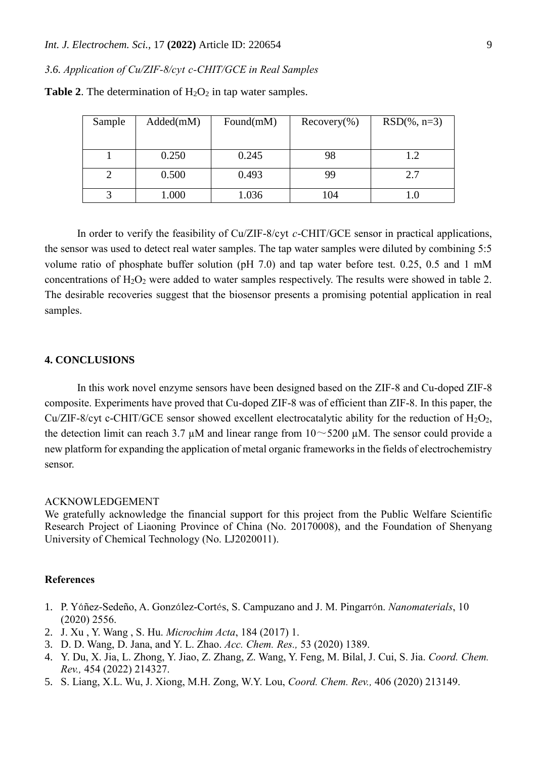*3.6. Application of Cu/ZIF-8/cyt c-CHIT/GCE in Real Samples*

| Sample | Added(mM) | Found $(mM)$ | $Recovery(\% )$ | $RSD(\% , n=3)$ |
|--------|-----------|--------------|-----------------|-----------------|
|        |           |              |                 |                 |
|        |           |              |                 |                 |
|        | 0.250     | 0.245        | 98              | 1.2             |
|        | 0.500     | 0.493        | 99              | 2.7             |
|        |           |              |                 |                 |
|        | 1.000     | 1.036        | 104             |                 |

**Table 2.** The determination of  $H_2O_2$  in tap water samples.

In order to verify the feasibility of Cu/ZIF-8/cyt *c*-CHIT/GCE sensor in practical applications, the sensor was used to detect real water samples. The tap water samples were diluted by combining 5:5 volume ratio of phosphate buffer solution (pH 7.0) and tap water before test. 0.25, 0.5 and 1 mM concentrations of  $H_2O_2$  were added to water samples respectively. The results were showed in table 2. The desirable recoveries suggest that the biosensor presents a promising potential application in real samples.

# **4. CONCLUSIONS**

In this work novel enzyme sensors have been designed based on the ZIF-8 and Cu-doped ZIF-8 composite. Experiments have proved that Cu-doped ZIF-8 was of efficient than ZIF-8. In this paper, the Cu/ZIF-8/cyt c-CHIT/GCE sensor showed excellent electrocatalytic ability for the reduction of  $H_2O_2$ , the detection limit can reach 3.7  $\mu$ M and linear range from  $10 \sim 5200 \mu$ M. The sensor could provide a new platform for expanding the application of metal organic frameworks in the fields of electrochemistry sensor.

#### ACKNOWLEDGEMENT

We gratefully acknowledge the financial support for this project from the Public Welfare Scientific Research Project of Liaoning Province of China (No. 20170008), and the Foundation of Shenyang University of Chemical Technology (No. LJ2020011).

### **References**

- 1. P. Yáñez-Sedeño, A. González-Cortés, S. Campuzano and J. M. Pingarrón. *Nanomaterials*, 10 (2020) 2556.
- 2. J. Xu , Y. Wang , S. Hu. *Microchim Acta*, 184 (2017) 1.
- 3. D. D. Wang, D. Jana, and Y. L. Zhao. *Acc. Chem. Res.,* 53 (2020) 1389.
- 4. Y. Du, X. Jia, L. Zhong, Y. Jiao, Z. Zhang, Z. Wang, Y. Feng, M. Bilal, J. Cui, S. Jia. *Coord. Chem. Rev.,* 454 (2022) 214327.
- 5. S. Liang, X.L. Wu, J. Xiong, M.H. Zong, W.Y. Lou, *Coord. Chem. Rev.,* 406 (2020) 213149.